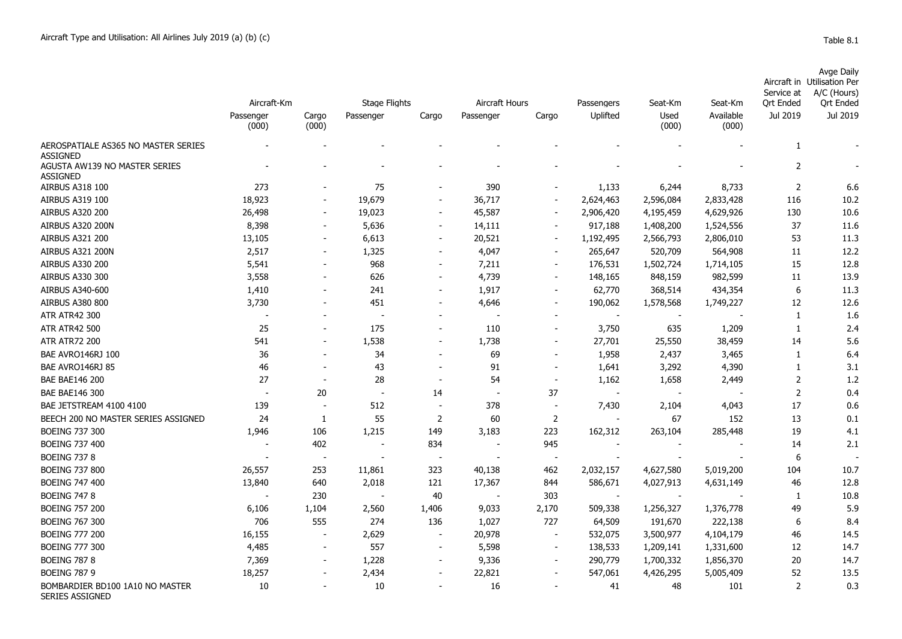| Avge Daily                                   |
|----------------------------------------------|
| Aircraft in Utilisation Per                  |
| $Conin \rightarrow +$ $A/C$ ( $H_{O(100)}$ ) |

|                                                        |                    |                          |                      |                          |                |                          |                          |                          |                    | Service at     | A/C (Hours)      |
|--------------------------------------------------------|--------------------|--------------------------|----------------------|--------------------------|----------------|--------------------------|--------------------------|--------------------------|--------------------|----------------|------------------|
|                                                        | Aircraft-Km        |                          | <b>Stage Flights</b> |                          | Aircraft Hours |                          | Passengers               | Seat-Km                  | Seat-Km            | Ort Ended      | <b>Ort Ended</b> |
|                                                        | Passenger<br>(000) | Cargo<br>(000)           | Passenger            | Cargo                    | Passenger      | Cargo                    | Uplifted                 | Used<br>(000)            | Available<br>(000) | Jul 2019       | Jul 2019         |
| AEROSPATIALE AS365 NO MASTER SERIES<br><b>ASSIGNED</b> |                    |                          |                      |                          |                |                          |                          |                          |                    | 1              |                  |
| AGUSTA AW139 NO MASTER SERIES<br><b>ASSIGNED</b>       |                    |                          |                      |                          |                |                          |                          |                          |                    | 2              |                  |
| AIRBUS A318 100                                        | 273                |                          | 75                   |                          | 390            |                          | 1,133                    | 6,244                    | 8,733              | $\overline{2}$ | 6.6              |
| AIRBUS A319 100                                        | 18,923             |                          | 19,679               |                          | 36,717         |                          | 2,624,463                | 2,596,084                | 2,833,428          | 116            | 10.2             |
| <b>AIRBUS A320 200</b>                                 | 26,498             |                          | 19,023               |                          | 45,587         |                          | 2,906,420                | 4,195,459                | 4,629,926          | 130            | 10.6             |
| <b>AIRBUS A320 200N</b>                                | 8,398              |                          | 5,636                | $\overline{\phantom{a}}$ | 14,111         |                          | 917,188                  | 1,408,200                | 1,524,556          | 37             | 11.6             |
| AIRBUS A321 200                                        | 13,105             |                          | 6,613                | $\overline{\phantom{a}}$ | 20,521         |                          | 1,192,495                | 2,566,793                | 2,806,010          | 53             | 11.3             |
| AIRBUS A321 200N                                       | 2,517              | $\overline{\phantom{a}}$ | 1,325                | $\overline{\phantom{a}}$ | 4,047          | $\sim$                   | 265,647                  | 520,709                  | 564,908            | 11             | 12.2             |
| AIRBUS A330 200                                        | 5,541              |                          | 968                  |                          | 7,211          | $\overline{\phantom{a}}$ | 176,531                  | 1,502,724                | 1,714,105          | 15             | 12.8             |
| <b>AIRBUS A330 300</b>                                 | 3,558              |                          | 626                  | $\overline{\phantom{a}}$ | 4,739          | $\sim$                   | 148,165                  | 848,159                  | 982,599            | 11             | 13.9             |
| AIRBUS A340-600                                        | 1,410              |                          | 241                  | $\overline{\phantom{a}}$ | 1,917          | $\sim$                   | 62,770                   | 368,514                  | 434,354            | 6              | 11.3             |
| <b>AIRBUS A380 800</b>                                 | 3,730              |                          | 451                  |                          | 4,646          |                          | 190,062                  | 1,578,568                | 1,749,227          | 12             | 12.6             |
| <b>ATR ATR42 300</b>                                   |                    |                          |                      |                          |                |                          |                          |                          |                    | 1              | 1.6              |
| <b>ATR ATR42 500</b>                                   | 25                 |                          | 175                  |                          | 110            |                          | 3,750                    | 635                      | 1,209              | 1              | 2.4              |
| <b>ATR ATR72 200</b>                                   | 541                |                          | 1,538                |                          | 1,738          |                          | 27,701                   | 25,550                   | 38,459             | 14             | 5.6              |
| BAE AVRO146RJ 100                                      | 36                 |                          | 34                   |                          | 69             |                          | 1,958                    | 2,437                    | 3,465              | 1              | 6.4              |
| BAE AVRO146RJ 85                                       | 46                 |                          | 43                   |                          | 91             |                          | 1,641                    | 3,292                    | 4,390              | $\mathbf{1}$   | 3.1              |
| <b>BAE BAE146 200</b>                                  | 27                 | $\overline{\phantom{a}}$ | 28                   |                          | 54             |                          | 1,162                    | 1,658                    | 2,449              | $\overline{2}$ | 1.2              |
| <b>BAE BAE146 300</b>                                  |                    | 20                       | $\sim$               | 14                       |                | 37                       | $\sim$                   | $\overline{\phantom{a}}$ |                    | $\overline{2}$ | 0.4              |
| BAE JETSTREAM 4100 4100                                | 139                |                          | 512                  | $\overline{\phantom{a}}$ | 378            |                          | 7,430                    | 2,104                    | 4,043              | 17             | 0.6              |
| BEECH 200 NO MASTER SERIES ASSIGNED                    | 24                 | 1                        | 55                   | $\overline{2}$           | 60             | $\overline{2}$           |                          | 67                       | 152                | 13             | 0.1              |
| <b>BOEING 737 300</b>                                  | 1,946              | 106                      | 1,215                | 149                      | 3,183          | 223                      | 162,312                  | 263,104                  | 285,448            | 19             | 4.1              |
| <b>BOEING 737 400</b>                                  |                    | 402                      |                      | 834                      |                | 945                      | $\overline{\phantom{a}}$ |                          |                    | 14             | 2.1              |
| <b>BOEING 737 8</b>                                    |                    |                          | $\blacksquare$       | $\overline{\phantom{a}}$ |                | $\overline{\phantom{a}}$ |                          |                          |                    | 6              |                  |
| <b>BOEING 737 800</b>                                  | 26,557             | 253                      | 11,861               | 323                      | 40,138         | 462                      | 2,032,157                | 4,627,580                | 5,019,200          | 104            | 10.7             |
| <b>BOEING 747 400</b>                                  | 13,840             | 640                      | 2,018                | 121                      | 17,367         | 844                      | 586,671                  | 4,027,913                | 4,631,149          | 46             | 12.8             |
| <b>BOEING 747 8</b>                                    |                    | 230                      |                      | 40                       |                | 303                      | $\overline{\phantom{a}}$ | $\sim$                   |                    | 1              | 10.8             |
| <b>BOEING 757 200</b>                                  | 6,106              | 1,104                    | 2,560                | 1,406                    | 9,033          | 2,170                    | 509,338                  | 1,256,327                | 1,376,778          | 49             | 5.9              |
| <b>BOEING 767 300</b>                                  | 706                | 555                      | 274                  | 136                      | 1,027          | 727                      | 64,509                   | 191,670                  | 222,138            | 6              | 8.4              |
| <b>BOEING 777 200</b>                                  | 16,155             |                          | 2,629                | $\overline{\phantom{a}}$ | 20,978         | $\sim$                   | 532,075                  | 3,500,977                | 4,104,179          | 46             | 14.5             |
| <b>BOEING 777 300</b>                                  | 4,485              |                          | 557                  |                          | 5,598          |                          | 138,533                  | 1,209,141                | 1,331,600          | 12             | 14.7             |
| <b>BOEING 787 8</b>                                    | 7,369              |                          | 1,228                | $\overline{\phantom{a}}$ | 9,336          |                          | 290,779                  | 1,700,332                | 1,856,370          | 20             | 14.7             |
| <b>BOEING 787 9</b>                                    | 18,257             |                          | 2,434                |                          | 22,821         |                          | 547,061                  | 4,426,295                | 5,005,409          | 52             | 13.5             |
| BOMBARDIER BD100 1A10 NO MASTER<br>SERIES ASSIGNED     | 10                 | $\overline{\phantom{a}}$ | 10                   |                          | 16             |                          | 41                       | 48                       | 101                | $\overline{2}$ | 0.3              |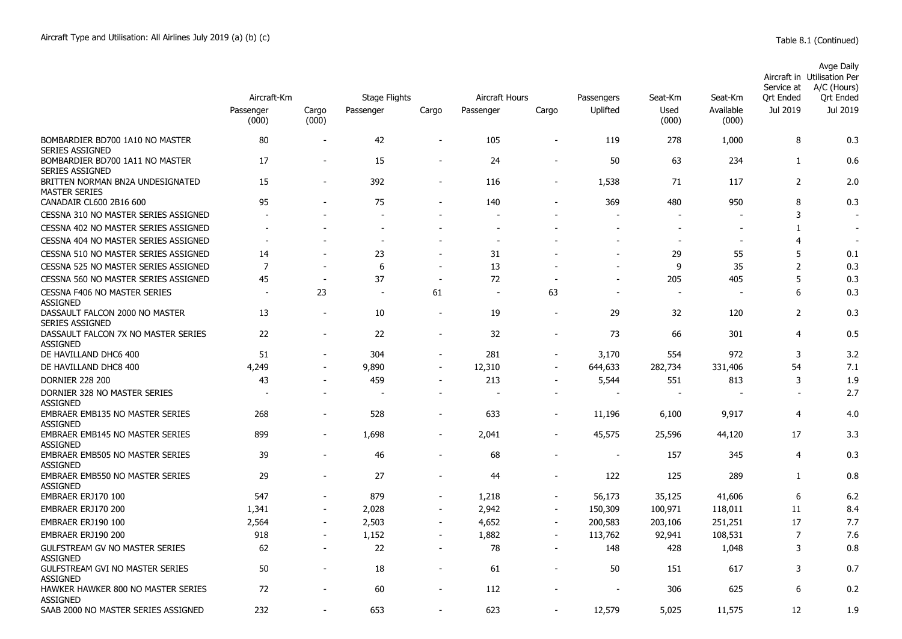|                                                           | Aircraft-Km              |                          | <b>Stage Flights</b>     | <b>Aircraft Hours</b>    |                          | Passengers               | Seat-Km                  | Seat-Km                  | Service at<br><b>Ort Ended</b> | Avge Daily<br>Aircraft in Utilisation Per<br>A/C (Hours)<br><b>Ort Ended</b> |          |
|-----------------------------------------------------------|--------------------------|--------------------------|--------------------------|--------------------------|--------------------------|--------------------------|--------------------------|--------------------------|--------------------------------|------------------------------------------------------------------------------|----------|
|                                                           | Passenger<br>(000)       | Cargo<br>(000)           | Passenger                | Cargo                    | Passenger                | Cargo                    | Uplifted                 | Used<br>(000)            | Available<br>(000)             | Jul 2019                                                                     | Jul 2019 |
| BOMBARDIER BD700 1A10 NO MASTER<br><b>SERIES ASSIGNED</b> | 80                       |                          | 42                       | $\overline{\phantom{a}}$ | 105                      | $\blacksquare$           | 119                      | 278                      | 1,000                          | 8                                                                            | 0.3      |
| BOMBARDIER BD700 1A11 NO MASTER<br><b>SERIES ASSIGNED</b> | 17                       | $\overline{a}$           | 15                       | $\overline{\phantom{a}}$ | 24                       | $\overline{\phantom{a}}$ | 50                       | 63                       | 234                            | $\mathbf{1}$                                                                 | 0.6      |
| BRITTEN NORMAN BN2A UNDESIGNATED<br><b>MASTER SERIES</b>  | 15                       | $\overline{\phantom{0}}$ | 392                      | $\blacksquare$           | 116                      | $\sim$                   | 1,538                    | 71                       | 117                            | 2                                                                            | 2.0      |
| CANADAIR CL600 2B16 600                                   | 95                       |                          | 75                       |                          | 140                      |                          | 369                      | 480                      | 950                            | 8                                                                            | 0.3      |
| CESSNA 310 NO MASTER SERIES ASSIGNED                      |                          |                          |                          |                          |                          |                          |                          |                          |                                | 3                                                                            |          |
| CESSNA 402 NO MASTER SERIES ASSIGNED                      |                          |                          |                          |                          |                          |                          |                          |                          |                                | 1                                                                            |          |
| CESSNA 404 NO MASTER SERIES ASSIGNED                      | $\overline{\phantom{a}}$ |                          | $\blacksquare$           |                          | $\overline{\phantom{a}}$ |                          |                          | $\overline{\phantom{a}}$ | $\overline{\phantom{a}}$       | $\overline{4}$                                                               |          |
| CESSNA 510 NO MASTER SERIES ASSIGNED                      | 14                       |                          | 23                       |                          | 31                       |                          |                          | 29                       | 55                             | 5                                                                            | 0.1      |
| CESSNA 525 NO MASTER SERIES ASSIGNED                      | $\overline{7}$           | $\overline{a}$           | 6                        | $\blacksquare$           | 13                       |                          | $\blacksquare$           | 9                        | 35                             | $\overline{2}$                                                               | 0.3      |
| CESSNA 560 NO MASTER SERIES ASSIGNED                      | 45                       | $\overline{\phantom{a}}$ | 37                       | $\overline{\phantom{a}}$ | 72                       |                          |                          | 205                      | 405                            | 5                                                                            | 0.3      |
| <b>CESSNA F406 NO MASTER SERIES</b><br><b>ASSIGNED</b>    | $\overline{\phantom{a}}$ | 23                       | $\overline{a}$           | 61                       | $\sim$                   | 63                       | $\overline{a}$           |                          |                                | 6                                                                            | 0.3      |
| DASSAULT FALCON 2000 NO MASTER<br><b>SERIES ASSIGNED</b>  | 13                       |                          | 10                       | $\overline{\phantom{a}}$ | 19                       |                          | 29                       | 32                       | 120                            | 2                                                                            | 0.3      |
| DASSAULT FALCON 7X NO MASTER SERIES<br><b>ASSIGNED</b>    | 22                       | ÷,                       | 22                       | $\overline{\phantom{a}}$ | 32                       |                          | 73                       | 66                       | 301                            | 4                                                                            | 0.5      |
| DE HAVILLAND DHC6 400                                     | 51                       | ٠                        | 304                      | $\overline{\phantom{a}}$ | 281                      | ٠                        | 3,170                    | 554                      | 972                            | 3                                                                            | 3.2      |
| DE HAVILLAND DHC8 400                                     | 4,249                    | $\overline{\phantom{a}}$ | 9,890                    | $\sim$                   | 12,310                   | $\blacksquare$           | 644,633                  | 282,734                  | 331,406                        | 54                                                                           | 7.1      |
| <b>DORNIER 228 200</b>                                    | 43                       |                          | 459                      | $\blacksquare$           | 213                      |                          | 5,544                    | 551                      | 813                            | 3                                                                            | 1.9      |
| DORNIER 328 NO MASTER SERIES<br><b>ASSIGNED</b>           | $\overline{\phantom{a}}$ |                          | $\overline{\phantom{a}}$ | $\blacksquare$           | $\overline{\phantom{a}}$ |                          |                          |                          |                                |                                                                              | 2.7      |
| EMBRAER EMB135 NO MASTER SERIES<br><b>ASSIGNED</b>        | 268                      | $\overline{\phantom{a}}$ | 528                      | $\overline{\phantom{a}}$ | 633                      | $\overline{\phantom{0}}$ | 11,196                   | 6,100                    | 9,917                          | 4                                                                            | 4.0      |
| <b>EMBRAER EMB145 NO MASTER SERIES</b><br>ASSIGNED        | 899                      | $\blacksquare$           | 1,698                    | $\overline{\phantom{a}}$ | 2,041                    | $\blacksquare$           | 45,575                   | 25,596                   | 44,120                         | 17                                                                           | 3.3      |
| <b>EMBRAER EMB505 NO MASTER SERIES</b><br><b>ASSIGNED</b> | 39                       |                          | 46                       | $\overline{a}$           | 68                       |                          | $\overline{\phantom{a}}$ | 157                      | 345                            | $\overline{4}$                                                               | 0.3      |
| EMBRAER EMB550 NO MASTER SERIES<br><b>ASSIGNED</b>        | 29                       |                          | 27                       | ٠                        | 44                       |                          | 122                      | 125                      | 289                            | 1                                                                            | 0.8      |
| EMBRAER ERJ170 100                                        | 547                      |                          | 879                      | $\overline{a}$           | 1,218                    |                          | 56,173                   | 35,125                   | 41,606                         | 6                                                                            | 6.2      |
| EMBRAER ERJ170 200                                        | 1,341                    | $\blacksquare$           | 2,028                    | $\overline{\phantom{a}}$ | 2,942                    | $\blacksquare$           | 150,309                  | 100,971                  | 118,011                        | 11                                                                           | 8.4      |
| EMBRAER ERJ190 100                                        | 2,564                    | $\blacksquare$           | 2,503                    | $\blacksquare$           | 4,652                    | $\blacksquare$           | 200,583                  | 203,106                  | 251,251                        | 17                                                                           | 7.7      |
| EMBRAER ERJ190 200                                        | 918                      |                          | 1,152                    | $\overline{\phantom{a}}$ | 1,882                    | $\overline{\phantom{a}}$ | 113,762                  | 92,941                   | 108,531                        | $\overline{7}$                                                               | 7.6      |
| <b>GULFSTREAM GV NO MASTER SERIES</b><br><b>ASSIGNED</b>  | 62                       | $\blacksquare$           | 22                       | $\blacksquare$           | 78                       | $\overline{\phantom{a}}$ | 148                      | 428                      | 1,048                          | 3                                                                            | 0.8      |
| <b>GULFSTREAM GVI NO MASTER SERIES</b><br><b>ASSIGNED</b> | 50                       | $\blacksquare$           | 18                       | $\blacksquare$           | 61                       | $\blacksquare$           | 50                       | 151                      | 617                            | 3                                                                            | 0.7      |
| HAWKER HAWKER 800 NO MASTER SERIES<br><b>ASSIGNED</b>     | 72                       |                          | 60                       |                          | 112                      |                          | $\overline{a}$           | 306                      | 625                            | 6                                                                            | 0.2      |
| SAAB 2000 NO MASTER SERIES ASSIGNED                       | 232                      |                          | 653                      |                          | 623                      |                          | 12,579                   | 5,025                    | 11.575                         | 12                                                                           | 1.9      |